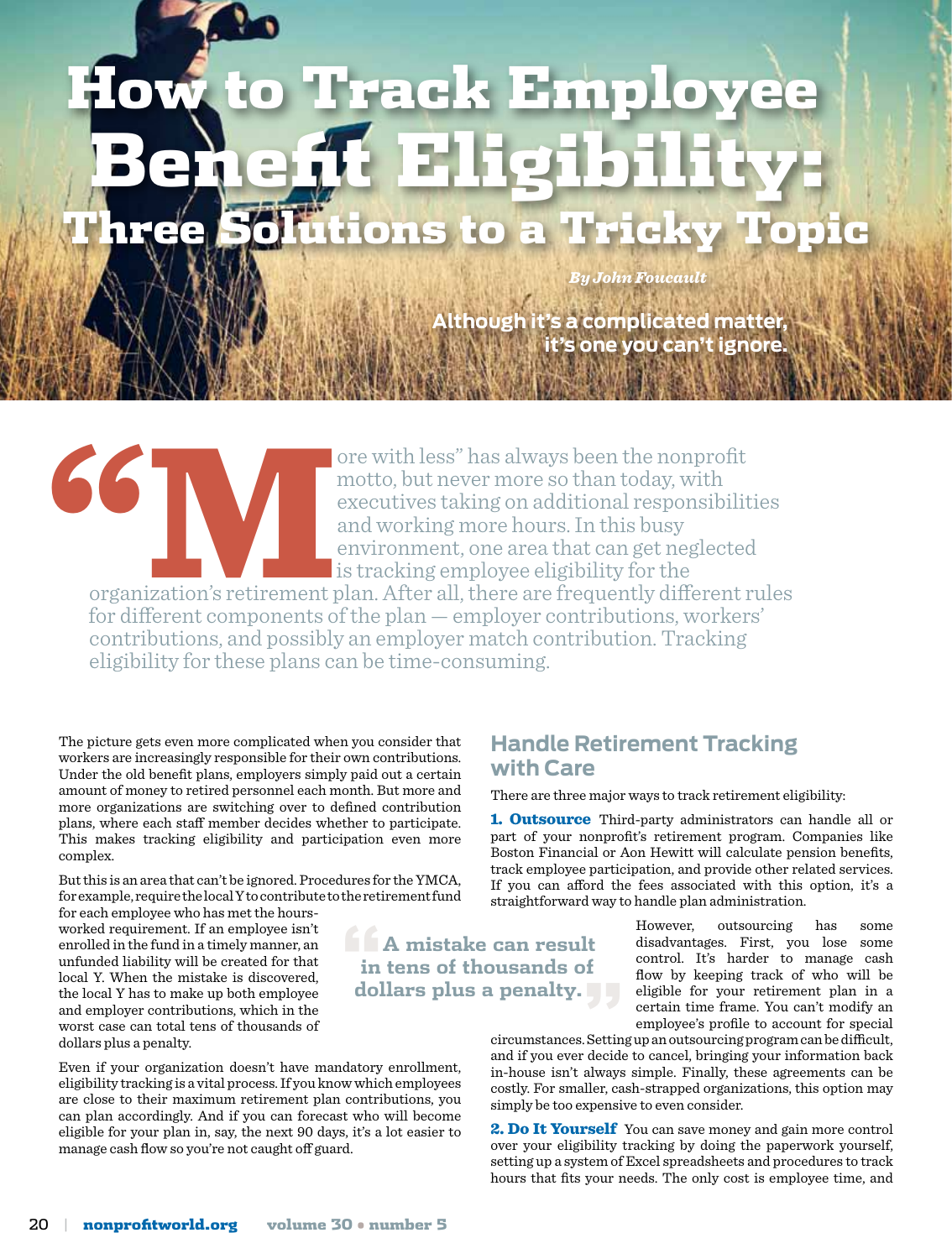# adk Emp Benefit Eligibility: Three Solutions to a Tricky Topic

**Although it is a matter inducan't ignore** *By John Foucault* 

ore with less" has always been the nonprofit<br>motto, but never more so than today, with<br>executives taking on additional responsibilit<br>and working more hours. In this busy<br>environment, one area that can get neglected<br>is trac motto, but never more so than today, with executives taking on additional responsibilities and working more hours. In this busy environment, one area that can get neglected **is tracking employee eligibility for the** 

organization's retirement plan. After all, there are frequently different rules for different components of the plan — employer contributions, workers' contributions, and possibly an employer match contribution. Tracking eligibility for these plans can be time-consuming.

> **"A mistake can result in tens of thousands of dollars plus a penalty."**

The picture gets even more complicated when you consider that workers are increasingly responsible for their own contributions. Under the old benefit plans, employers simply paid out a certain amount of money to retired personnel each month. But more and more organizations are switching over to defined contribution plans, where each staff member decides whether to participate. This makes tracking eligibility and participation even more complex.

But this is an area that can't be ignored. Procedures for the YMCA, for example, require the local Y to contribute to the retirement fund

for each employee who has met the hoursworked requirement. If an employee isn't enrolled in the fund in a timely manner, an unfunded liability will be created for that local Y. When the mistake is discovered, the local Y has to make up both employee and employer contributions, which in the worst case can total tens of thousands of dollars plus a penalty.

Even if your organization doesn't have mandatory enrollment, eligibility tracking is a vital process. If you know which employees are close to their maximum retirement plan contributions, you can plan accordingly. And if you can forecast who will become eligible for your plan in, say, the next 90 days, it's a lot easier to manage cash flow so you're not caught off guard.

#### **Handle Retirement Tracking with Care**

There are three major ways to track retirement eligibility:

1. **Outsource** Third-party administrators can handle all or part of your nonprofit's retirement program. Companies like Boston Financial or Aon Hewitt will calculate pension benefits, track employee participation, and provide other related services. If you can afford the fees associated with this option, it's a straightforward way to handle plan administration.

> However, outsourcing has some disadvantages. First, you lose some control. It's harder to manage cash flow by keeping track of who will be eligible for your retirement plan in a certain time frame. You can't modify an employee's profile to account for special

circumstances. Setting up an outsourcing program can be difficult, and if you ever decide to cancel, bringing your information back in-house isn't always simple. Finally, these agreements can be costly. For smaller, cash-strapped organizations, this option may simply be too expensive to even consider.

2. Do It Yourself You can save money and gain more control over your eligibility tracking by doing the paperwork yourself, setting up a system of Excel spreadsheets and procedures to track hours that fits your needs. The only cost is employee time, and